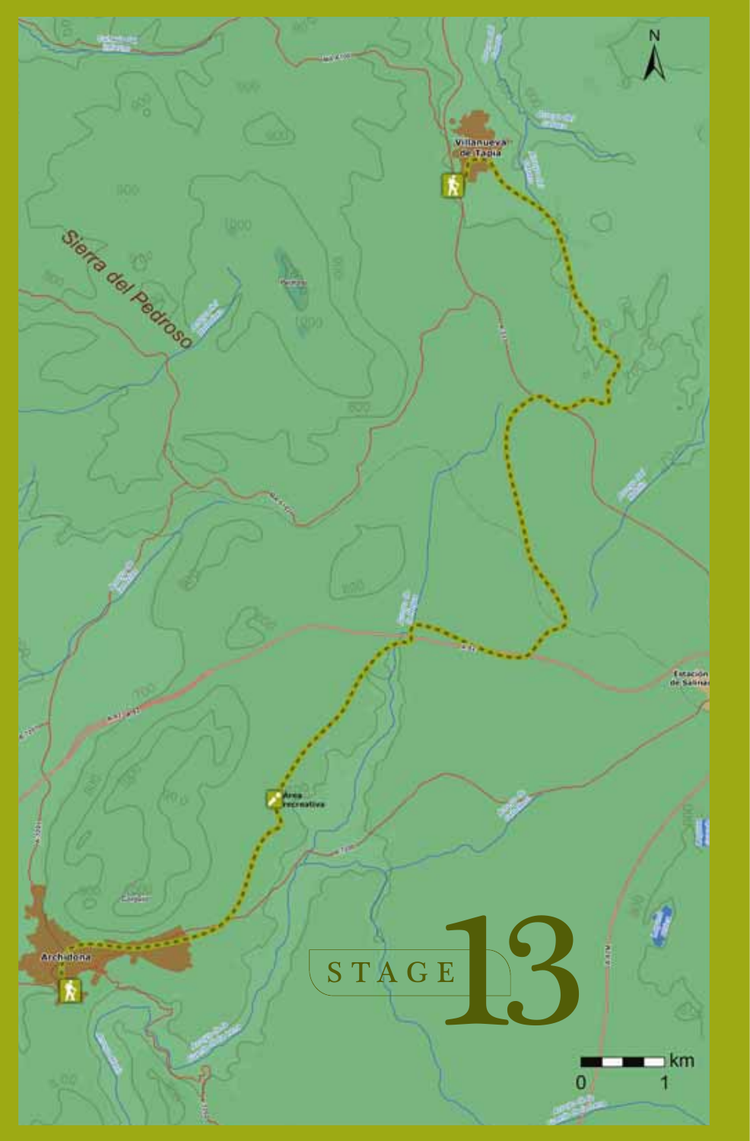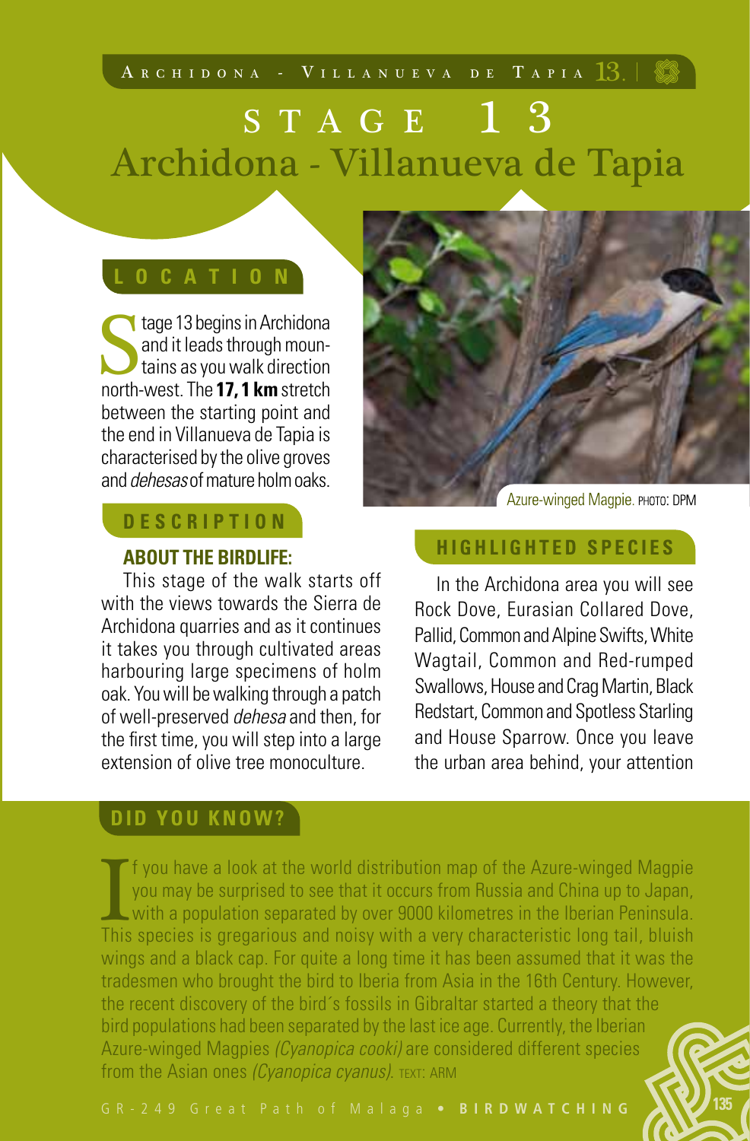# STAGE 13 Archidona - Villanueva de Tapia

stage 13 begins in Archidona<br>and it leads through moun-<br>tains as you walk direction<br>north-west The 17.1 km stretch and it leads through moun-**I** tains as you walk direction north-west. The **17, 1 km** stretch between the starting point and the end in Villanueva de Tapia is characterised by the olive groves and *dehesas* of mature holm oaks.

# **D E S C R I P T I O N**

### **ABOUT THE BIRDLIFE:**

This stage of the walk starts off with the views towards the Sierra de Archidona quarries and as it continues it takes you through cultivated areas harbouring large specimens of holm oak. You will be walking through a patch of well-preserved *dehesa* and then, for the first time, you will step into a large extension of olive tree monoculture

## **DID YOU KNOW?**

**If** you have a look at the world distribution map of the Azure-winger you may be surprised to see that it occurs from Russia and China up with a population separated by over 9000 kilometres in the Iberian P This species f you have a look at the world distribution map of the Azure-winged Magpie you may be surprised to see that it occurs from Russia and China up to Japan, with a population separated by over 9000 kilometres in the Iberian Peninsula. This species is gregarious and noisy with a very characteristic long tail, bluish wings and a black cap. For quite a long time it has been assumed that it was the tradesmen who brought the bird to Iberia from Asia in the 16th Century. However, the recent discovery of the bird´s fossils in Gibraltar started a theory that the bird populations had been separated by the last ice age. Currently, the Iberian Azure-winged Magpies *(Cyanopica cooki)* are considered different species from the Asian ones *(Cyanopica cyanus)*. TEXT: ARM



Azure-winged Magpie. PHOTO: DPM **HIGHLIGHTED SPECIES**

In the Archidona area you will see Rock Dove, Eurasian Collared Dove, Pallid, Common and Alpine Swifts, White Wagtail, Common and Red-rumped Swallows, House and Crag Martin, Black Redstart, Common and Spotless Starling and House Sparrow. Once you leave the urban area behind, your attention

**135**

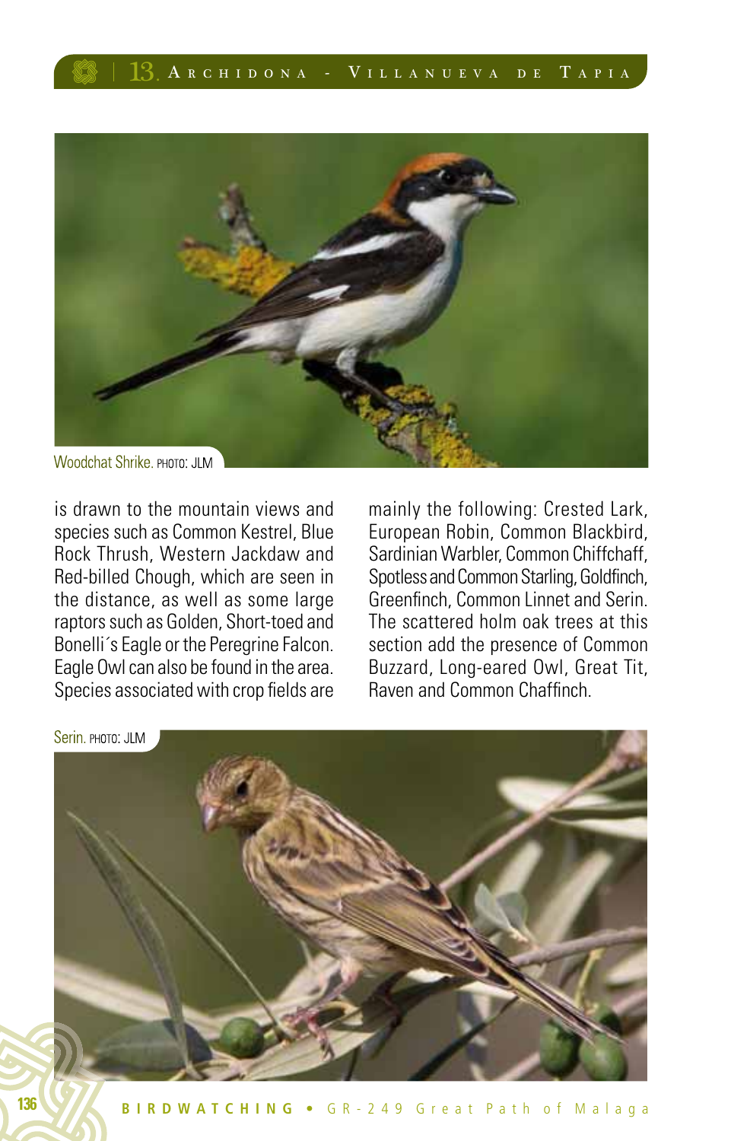

is drawn to the mountain views and species such as Common Kestrel, Blue Rock Thrush, Western Jackdaw and Red-billed Chough, which are seen in the distance, as well as some large raptors such as Golden, Short-toed and Bonelli´s Eagle or the Peregrine Falcon. Eagle Owl can also be found in the area. Species associated with crop fields are mainly the following: Crested Lark, European Robin, Common Blackbird, Sardinian Warbler, Common Chiffchaff, Spotless and Common Starling, Goldfinch, Greenfinch, Common Linnet and Serin. The scattered holm oak trees at this section add the presence of Common Buzzard, Long-eared Owl, Great Tit, Raven and Common Chaffinch